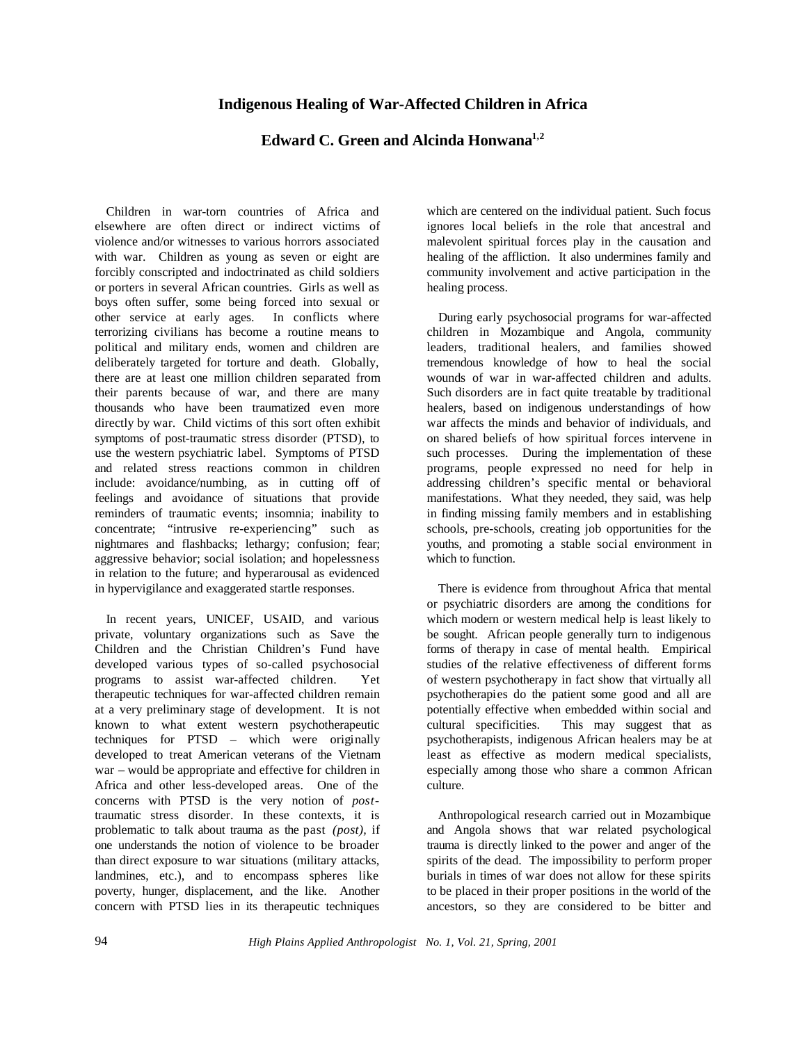## **Indigenous Healing of War-Affected Children in Africa**

## **Edward C. Green and Alcinda Honwana1,2**

Children in war-torn countries of Africa and elsewhere are often direct or indirect victims of violence and/or witnesses to various horrors associated with war. Children as young as seven or eight are forcibly conscripted and indoctrinated as child soldiers or porters in several African countries. Girls as well as boys often suffer, some being forced into sexual or other service at early ages. In conflicts where terrorizing civilians has become a routine means to political and military ends, women and children are deliberately targeted for torture and death. Globally, there are at least one million children separated from their parents because of war, and there are many thousands who have been traumatized even more directly by war. Child victims of this sort often exhibit symptoms of post-traumatic stress disorder (PTSD), to use the western psychiatric label. Symptoms of PTSD and related stress reactions common in children include: avoidance/numbing, as in cutting off of feelings and avoidance of situations that provide reminders of traumatic events; insomnia; inability to concentrate; "intrusive re-experiencing" such as nightmares and flashbacks; lethargy; confusion; fear; aggressive behavior; social isolation; and hopelessness in relation to the future; and hyperarousal as evidenced in hypervigilance and exaggerated startle responses.

In recent years, UNICEF, USAID, and various private, voluntary organizations such as Save the Children and the Christian Children's Fund have developed various types of so-called psychosocial programs to assist war-affected children. Yet therapeutic techniques for war-affected children remain at a very preliminary stage of development. It is not known to what extent western psychotherapeutic techniques for PTSD – which were originally developed to treat American veterans of the Vietnam war – would be appropriate and effective for children in Africa and other less-developed areas. One of the concerns with PTSD is the very notion of *post*traumatic stress disorder. In these contexts, it is problematic to talk about trauma as the past *(post),* if one understands the notion of violence to be broader than direct exposure to war situations (military attacks, landmines, etc.), and to encompass spheres like poverty, hunger, displacement, and the like. Another concern with PTSD lies in its therapeutic techniques

which are centered on the individual patient. Such focus ignores local beliefs in the role that ancestral and malevolent spiritual forces play in the causation and healing of the affliction. It also undermines family and community involvement and active participation in the healing process.

During early psychosocial programs for war-affected children in Mozambique and Angola, community leaders, traditional healers, and families showed tremendous knowledge of how to heal the social wounds of war in war-affected children and adults. Such disorders are in fact quite treatable by traditional healers, based on indigenous understandings of how war affects the minds and behavior of individuals, and on shared beliefs of how spiritual forces intervene in such processes. During the implementation of these programs, people expressed no need for help in addressing children's specific mental or behavioral manifestations. What they needed, they said, was help in finding missing family members and in establishing schools, pre-schools, creating job opportunities for the youths, and promoting a stable social environment in which to function.

There is evidence from throughout Africa that mental or psychiatric disorders are among the conditions for which modern or western medical help is least likely to be sought. African people generally turn to indigenous forms of therapy in case of mental health. Empirical studies of the relative effectiveness of different forms of western psychotherapy in fact show that virtually all psychotherapies do the patient some good and all are potentially effective when embedded within social and cultural specificities. This may suggest that as psychotherapists, indigenous African healers may be at least as effective as modern medical specialists, especially among those who share a common African culture.

Anthropological research carried out in Mozambique and Angola shows that war related psychological trauma is directly linked to the power and anger of the spirits of the dead. The impossibility to perform proper burials in times of war does not allow for these spirits to be placed in their proper positions in the world of the ancestors, so they are considered to be bitter and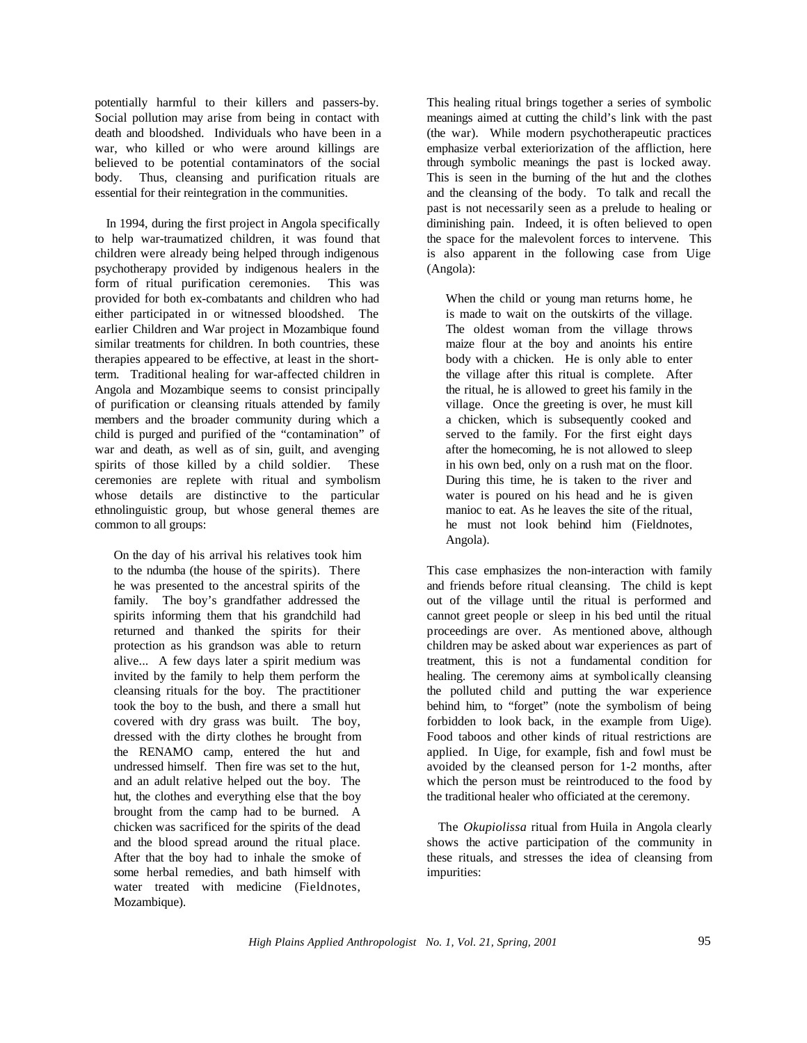potentially harmful to their killers and passers-by. Social pollution may arise from being in contact with death and bloodshed. Individuals who have been in a war, who killed or who were around killings are believed to be potential contaminators of the social body. Thus, cleansing and purification rituals are essential for their reintegration in the communities.

In 1994, during the first project in Angola specifically to help war-traumatized children, it was found that children were already being helped through indigenous psychotherapy provided by indigenous healers in the form of ritual purification ceremonies. This was provided for both ex-combatants and children who had either participated in or witnessed bloodshed. The earlier Children and War project in Mozambique found similar treatments for children. In both countries, these therapies appeared to be effective, at least in the shortterm. Traditional healing for war-affected children in Angola and Mozambique seems to consist principally of purification or cleansing rituals attended by family members and the broader community during which a child is purged and purified of the "contamination" of war and death, as well as of sin, guilt, and avenging spirits of those killed by a child soldier. These ceremonies are replete with ritual and symbolism whose details are distinctive to the particular ethnolinguistic group, but whose general themes are common to all groups:

On the day of his arrival his relatives took him to the ndumba (the house of the spirits). There he was presented to the ancestral spirits of the family. The boy's grandfather addressed the spirits informing them that his grandchild had returned and thanked the spirits for their protection as his grandson was able to return alive... A few days later a spirit medium was invited by the family to help them perform the cleansing rituals for the boy. The practitioner took the boy to the bush, and there a small hut covered with dry grass was built. The boy, dressed with the dirty clothes he brought from the RENAMO camp, entered the hut and undressed himself. Then fire was set to the hut, and an adult relative helped out the boy. The hut, the clothes and everything else that the boy brought from the camp had to be burned. A chicken was sacrificed for the spirits of the dead and the blood spread around the ritual place. After that the boy had to inhale the smoke of some herbal remedies, and bath himself with water treated with medicine (Fieldnotes, Mozambique).

This healing ritual brings together a series of symbolic meanings aimed at cutting the child's link with the past (the war). While modern psychotherapeutic practices emphasize verbal exteriorization of the affliction, here through symbolic meanings the past is locked away. This is seen in the burning of the hut and the clothes and the cleansing of the body. To talk and recall the past is not necessarily seen as a prelude to healing or diminishing pain. Indeed, it is often believed to open the space for the malevolent forces to intervene. This is also apparent in the following case from Uige (Angola):

When the child or young man returns home, he is made to wait on the outskirts of the village. The oldest woman from the village throws maize flour at the boy and anoints his entire body with a chicken. He is only able to enter the village after this ritual is complete. After the ritual, he is allowed to greet his family in the village. Once the greeting is over, he must kill a chicken, which is subsequently cooked and served to the family. For the first eight days after the homecoming, he is not allowed to sleep in his own bed, only on a rush mat on the floor. During this time, he is taken to the river and water is poured on his head and he is given manioc to eat. As he leaves the site of the ritual, he must not look behind him (Fieldnotes, Angola).

This case emphasizes the non-interaction with family and friends before ritual cleansing. The child is kept out of the village until the ritual is performed and cannot greet people or sleep in his bed until the ritual proceedings are over. As mentioned above, although children may be asked about war experiences as part of treatment, this is not a fundamental condition for healing. The ceremony aims at symbolically cleansing the polluted child and putting the war experience behind him, to "forget" (note the symbolism of being forbidden to look back, in the example from Uige). Food taboos and other kinds of ritual restrictions are applied. In Uige, for example, fish and fowl must be avoided by the cleansed person for 1-2 months, after which the person must be reintroduced to the food by the traditional healer who officiated at the ceremony.

The *Okupiolissa* ritual from Huila in Angola clearly shows the active participation of the community in these rituals, and stresses the idea of cleansing from impurities: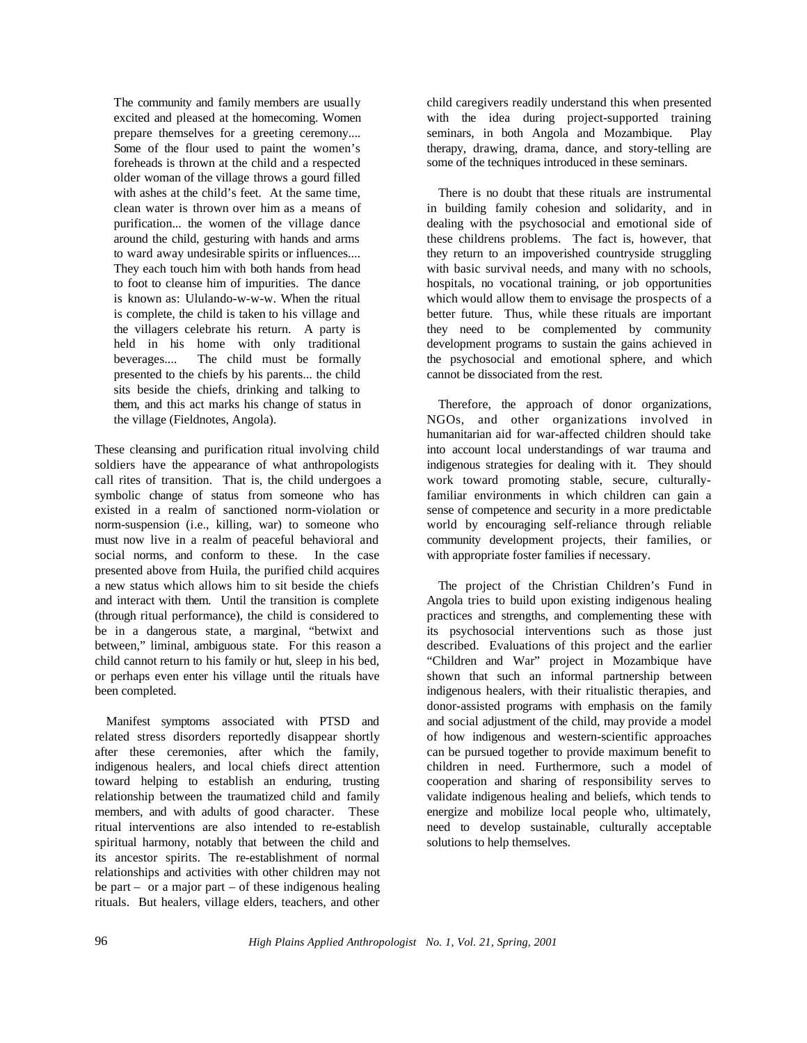The community and family members are usually excited and pleased at the homecoming. Women prepare themselves for a greeting ceremony.... Some of the flour used to paint the women's foreheads is thrown at the child and a respected older woman of the village throws a gourd filled with ashes at the child's feet. At the same time, clean water is thrown over him as a means of purification... the women of the village dance around the child, gesturing with hands and arms to ward away undesirable spirits or influences.... They each touch him with both hands from head to foot to cleanse him of impurities. The dance is known as: Ululando-w-w-w. When the ritual is complete, the child is taken to his village and the villagers celebrate his return. A party is held in his home with only traditional beverages.... The child must be formally presented to the chiefs by his parents... the child sits beside the chiefs, drinking and talking to them, and this act marks his change of status in the village (Fieldnotes, Angola).

These cleansing and purification ritual involving child soldiers have the appearance of what anthropologists call rites of transition. That is, the child undergoes a symbolic change of status from someone who has existed in a realm of sanctioned norm-violation or norm-suspension (i.e., killing, war) to someone who must now live in a realm of peaceful behavioral and social norms, and conform to these. In the case presented above from Huila, the purified child acquires a new status which allows him to sit beside the chiefs and interact with them. Until the transition is complete (through ritual performance), the child is considered to be in a dangerous state, a marginal, "betwixt and between," liminal, ambiguous state. For this reason a child cannot return to his family or hut, sleep in his bed, or perhaps even enter his village until the rituals have been completed.

Manifest symptoms associated with PTSD and related stress disorders reportedly disappear shortly after these ceremonies, after which the family, indigenous healers, and local chiefs direct attention toward helping to establish an enduring, trusting relationship between the traumatized child and family members, and with adults of good character. These ritual interventions are also intended to re-establish spiritual harmony, notably that between the child and its ancestor spirits. The re-establishment of normal relationships and activities with other children may not be part – or a major part – of these indigenous healing rituals. But healers, village elders, teachers, and other

child caregivers readily understand this when presented with the idea during project-supported training seminars, in both Angola and Mozambique. Play therapy, drawing, drama, dance, and story-telling are some of the techniques introduced in these seminars.

There is no doubt that these rituals are instrumental in building family cohesion and solidarity, and in dealing with the psychosocial and emotional side of these childrens problems. The fact is, however, that they return to an impoverished countryside struggling with basic survival needs, and many with no schools, hospitals, no vocational training, or job opportunities which would allow them to envisage the prospects of a better future. Thus, while these rituals are important they need to be complemented by community development programs to sustain the gains achieved in the psychosocial and emotional sphere, and which cannot be dissociated from the rest.

Therefore, the approach of donor organizations, NGOs, and other organizations involved in humanitarian aid for war-affected children should take into account local understandings of war trauma and indigenous strategies for dealing with it. They should work toward promoting stable, secure, culturallyfamiliar environments in which children can gain a sense of competence and security in a more predictable world by encouraging self-reliance through reliable community development projects, their families, or with appropriate foster families if necessary.

The project of the Christian Children's Fund in Angola tries to build upon existing indigenous healing practices and strengths, and complementing these with its psychosocial interventions such as those just described. Evaluations of this project and the earlier "Children and War" project in Mozambique have shown that such an informal partnership between indigenous healers, with their ritualistic therapies, and donor-assisted programs with emphasis on the family and social adjustment of the child, may provide a model of how indigenous and western-scientific approaches can be pursued together to provide maximum benefit to children in need. Furthermore, such a model of cooperation and sharing of responsibility serves to validate indigenous healing and beliefs, which tends to energize and mobilize local people who, ultimately, need to develop sustainable, culturally acceptable solutions to help themselves.